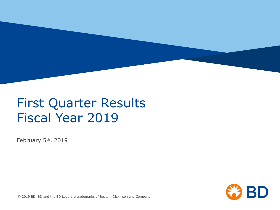

### First Quarter Results Fiscal Year 2019

February 5th, 2019

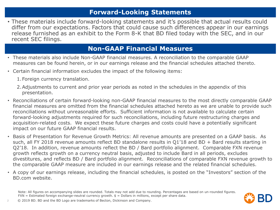#### **Forward-Looking Statements**

• These materials include forward-looking statements and it's possible that actual results could differ from our expectations. Factors that could cause such differences appear in our earnings release furnished as an exhibit to the Form 8-K that BD filed today with the SEC, and in our recent SEC filings.

#### **Non-GAAP Financial Measures**

- These materials also include Non-GAAP financial measures. A reconciliation to the comparable GAAP measures can be found herein, or in our earnings release and the financial schedules attached thereto.
- Certain financial information excludes the impact of the following items:
	- 1.Foreign currency translation.
	- 2.Adjustments to current and prior year periods as noted in the schedules in the appendix of this presentation.
- Reconciliations of certain forward-looking non-GAAP financial measures to the most directly comparable GAAP financial measures are omitted from the financial schedules attached hereto as we are unable to provide such reconciliations without unreasonable efforts. Sufficient information is not available to calculate certain forward-looking adjustments required for such reconciliations, including future restructuring charges and acquisition-related costs. We expect these future charges and costs could have a potentially significant impact on our future GAAP financial results.
- Basis of Presentation for Revenue Growth Metrics: All revenue amounts are presented on a GAAP basis. As such, all FY 2018 revenue amounts reflect BD standalone results in Q1'18 and BD + Bard results starting in Q2'18. In addition, revenue amounts reflect the BD / Bard portfolio alignment. Comparable FXN revenue growth reflects growth on a currency neutral basis, adjusted to include Bard in all periods, excludes divestitures, and reflects BD / Bard portfolio alignment. Reconciliations of comparable FXN revenue growth to the comparable GAAP measure are included in our earnings release and the related financial schedules.
- A copy of our earnings release, including the financial schedules, is posted on the "Investors" section of the BD.com website.

Note: All figures on accompanying slides are rounded. Totals may not add due to rounding. Percentages are based on un-rounded figures.  $FXN = Estimated foreign exchange-neutral currency growth.$   $$ = Dollars in millions, except per share data.$ 

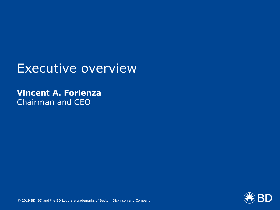### Executive overview

### **Vincent A. Forlenza** Chairman and CEO

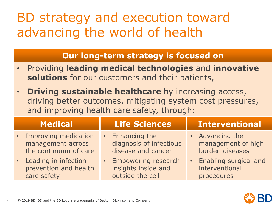# BD strategy and execution toward advancing the world of health

#### **Our long-term strategy is focused on**

- Providing **leading medical technologies** and **innovative solutions** for our customers and their patients,
- **Driving sustainable healthcare** by increasing access, driving better outcomes, mitigating system cost pressures, and improving health care safety, through:

| <b>Medical</b>                                                       | <b>Life Sciences</b>                                             | <b>Interventional</b>                                                |
|----------------------------------------------------------------------|------------------------------------------------------------------|----------------------------------------------------------------------|
| • Improving medication<br>management across<br>the continuum of care | Enhancing the<br>diagnosis of infectious<br>disease and cancer   | • Advancing the<br>management of high<br>burden diseases             |
| • Leading in infection<br>prevention and health<br>care safety       | • Empowering research<br>insights inside and<br>outside the cell | Enabling surgical and<br>$\bullet$ .<br>interventional<br>procedures |

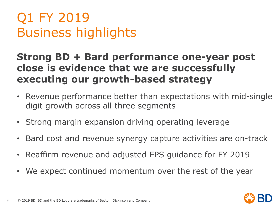# Q1 FY 2019 Business highlights

### **Strong BD + Bard performance one-year post close is evidence that we are successfully executing our growth-based strategy**

- Revenue performance better than expectations with mid-single digit growth across all three segments
- Strong margin expansion driving operating leverage
- Bard cost and revenue synergy capture activities are on-track
- Reaffirm revenue and adjusted EPS guidance for FY 2019
- We expect continued momentum over the rest of the year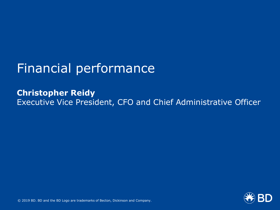## Financial performance

**Christopher Reidy** Executive Vice President, CFO and Chief Administrative Officer

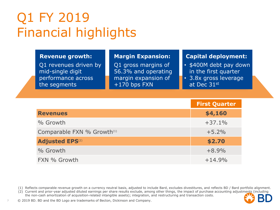## Q1 FY 2019 Financial highlights

Q1 revenues driven by mid-single digit performance across the segments

Q1 gross margins of 56.3% and operating margin expansion of +170 bps FXN

#### **Revenue growth: Margin Expansion: Capital deployment:**

- \$400M debt pay down in the first quarter
- 3.8x gross leverage at Dec 31st

|                                        | <b>First Quarter</b> |
|----------------------------------------|----------------------|
| <b>Revenues</b>                        | \$4,160              |
| % Growth                               | $+37.1%$             |
| Comparable FXN % Growth <sup>(1)</sup> | $+5.2%$              |
| <b>Adjusted EPS(2)</b>                 | \$2.70               |
| % Growth                               | $+8.9%$              |
| FXN % Growth                           | $+14.9%$             |

(1) Reflects comparable revenue growth on a currency neutral basis, adjusted to include Bard, excludes divestitures, and reflects BD / Bard portfolio alignment.

(2) Current and prior-year adjusted diluted earnings per share results exclude, among other things, the impact of purchase accounting adjustments (including the non-cash amortization of acquisition-related intangible assets); integration, and restructuring and transaction costs.

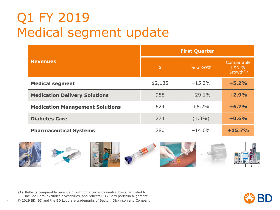## Q1 FY 2019 Medical segment update

|                                        |         | <b>First Quarter</b> |                                              |
|----------------------------------------|---------|----------------------|----------------------------------------------|
| <b>Revenues</b>                        | \$      | % Growth             | Comparable<br>FXN %<br>Growth <sup>(1)</sup> |
| <b>Medical segment</b>                 | \$2,135 | $+15.3%$             | $+5.2%$                                      |
| <b>Medication Delivery Solutions</b>   | 958     | $+29.1%$             | $+2.9%$                                      |
| <b>Medication Management Solutions</b> | 624     | $+6.2%$              | $+6.7%$                                      |
| <b>Diabetes Care</b>                   | 274     | $(1.3\%)$            | $+0.6%$                                      |
| <b>Pharmaceutical Systems</b>          | 280     | $+14.0%$             | $+15.7%$                                     |



(1) Reflects comparable revenue growth on a currency neutral basis, adjusted to include Bard, excludes divestitures, and reflects BD / Bard portfolio alignment.

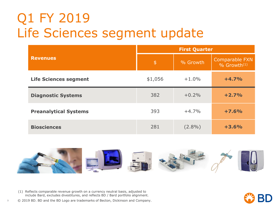## Q1 FY 2019 Life Sciences segment update

|                              |               | <b>First Quarter</b> |                                       |
|------------------------------|---------------|----------------------|---------------------------------------|
| <b>Revenues</b>              | $\frac{4}{5}$ | % Growth             | Comparable FXN<br>$%$ Growth $^{(1)}$ |
| <b>Life Sciences segment</b> | \$1,056       | $+1.0%$              | $+4.7%$                               |
| <b>Diagnostic Systems</b>    | 382           | $+0.2%$              | $+2.7%$                               |
| <b>Preanalytical Systems</b> | 393           | $+4.7%$              | $+7.6%$                               |
| <b>Biosciences</b>           | 281           | $(2.8\%)$            | $+3.6%$                               |



(1) Reflects comparable revenue growth on a currency neutral basis, adjusted to include Bard, excludes divestitures, and reflects BD / Bard portfolio alignment.

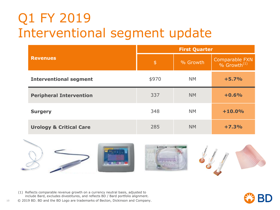## Q1 FY 2019 Interventional segment update

|                                    |               | <b>First Quarter</b> |                                           |
|------------------------------------|---------------|----------------------|-------------------------------------------|
| <b>Revenues</b>                    | $\frac{4}{5}$ | % Growth             | Comparable FXN<br>% Growth <sup>(1)</sup> |
| <b>Interventional segment</b>      | \$970         | <b>NM</b>            | $+5.7%$                                   |
| <b>Peripheral Intervention</b>     | 337           | <b>NM</b>            | $+0.6%$                                   |
| <b>Surgery</b>                     | 348           | <b>NM</b>            | $+10.0%$                                  |
| <b>Urology &amp; Critical Care</b> | 285           | <b>NM</b>            | $+7.3%$                                   |



(1) Reflects comparable revenue growth on a currency neutral basis, adjusted to include Bard, excludes divestitures, and reflects BD / Bard portfolio alignment.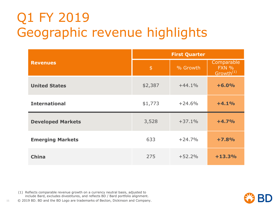# Q1 FY 2019 Geographic revenue highlights

|                          |               | <b>First Quarter</b> |                                              |
|--------------------------|---------------|----------------------|----------------------------------------------|
| <b>Revenues</b>          | $\frac{4}{5}$ | % Growth             | Comparable<br>FXN %<br>Growth <sup>(1)</sup> |
| <b>United States</b>     | \$2,387       | $+44.1%$             | $+6.0%$                                      |
| <b>International</b>     | \$1,773       | $+24.6%$             | $+4.1%$                                      |
| <b>Developed Markets</b> | 3,528         | $+37.1%$             | $+4.7%$                                      |
| <b>Emerging Markets</b>  | 633           | $+24.7%$             | $+7.8%$                                      |
| <b>China</b>             | 275           | $+52.2%$             | $+13.3%$                                     |

(1) Reflects comparable revenue growth on a currency neutral basis, adjusted to include Bard, excludes divestitures, and reflects BD / Bard portfolio alignment.

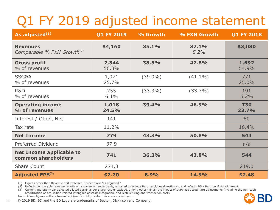# Q1 FY 2019 adjusted income statement

| As adjusted <sup>(1)</sup>                                | <b>Q1 FY 2019</b> | % Growth   | % FXN Growth  | <b>Q1 FY 2018</b> |
|-----------------------------------------------------------|-------------------|------------|---------------|-------------------|
| <b>Revenues</b><br>Comparable % FXN Growth <sup>(2)</sup> | \$4,160           | 35.1%      | 37.1%<br>5.2% | \$3,080           |
| <b>Gross profit</b><br>% of revenues                      | 2,344<br>56.3%    | 38.5%      | 42.8%         | 1,692<br>54.9%    |
| SSG&A<br>% of revenues                                    | 1,071<br>25.7%    | $(39.0\%)$ | $(41.1\%)$    | 771<br>25.0%      |
| R&D<br>% of revenues                                      | 255<br>6.1%       | $(33.3\%)$ | $(33.7\%)$    | 191<br>6.2%       |
| <b>Operating income</b><br>% of revenues                  | 1,018<br>24.5%    | 39.4%      | 46.9%         | 730<br>23.7%      |
| Interest / Other, Net                                     | 141               |            |               | 80                |
| Tax rate                                                  | 11.2%             |            |               | 16.4%             |
| <b>Net Income</b>                                         | 779               | 43.3%      | 50.8%         | 544               |
| <b>Preferred Dividend</b>                                 | 37.9              |            |               | n/a               |
| <b>Net Income applicable to</b><br>common shareholders    | 741               | 36.3%      | 43.8%         | 544               |
| Share Count                                               | 274.3             |            |               | 219.0             |
| <b>Adjusted EPS</b> <sup>(3)</sup>                        | \$2.70            | 8.9%       | 14.9%         | \$2.48            |

(1) Figures other than Revenue and Preferred Dividend are "as adjusted."

(2) Reflects comparable revenue growth on a currency neutral basis, adjusted to include Bard, excludes divestitures, and reflects BD / Bard portfolio alignment.

(3) Current and prior-year adjusted diluted earnings per share results exclude, among other things, the impact of purchase accounting adjustments (including the non-cash

amortization of acquisition-related intangible assets); integration, and restructuring and transaction costs. Note: Above figures reflects favorable / (unfavorable) performance versus last year.

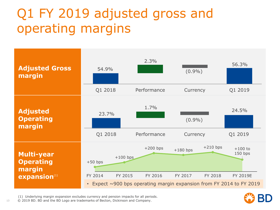# Q1 FY 2019 adjusted gross and operating margins



(1) Underlying margin expansion excludes currency and pension impacts for all periods.

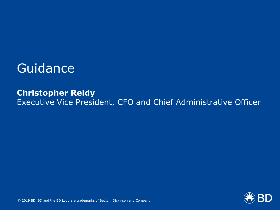### **Guidance**

### **Christopher Reidy** Executive Vice President, CFO and Chief Administrative Officer

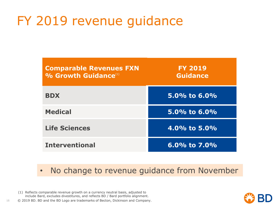## FY 2019 revenue guidance

| <b>Comparable Revenues FXN</b><br>% Growth Guidance <sup>(1)</sup> | <b>FY 2019</b><br>Guidance |
|--------------------------------------------------------------------|----------------------------|
| <b>BDX</b>                                                         | 5.0% to $6.0\%$            |
| <b>Medical</b>                                                     | 5.0% to $6.0\%$            |
| <b>Life Sciences</b>                                               | 4.0% to $5.0\%$            |
| <b>Interventional</b>                                              | 6.0% to $7.0\%$            |

- No change to revenue guidance from November
- (1) Reflects comparable revenue growth on a currency neutral basis, adjusted to include Bard, excludes divestitures, and reflects BD / Bard portfolio alignment.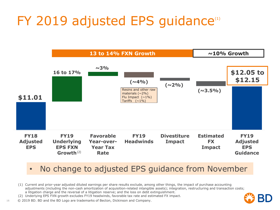# $FY$  2019 adjusted EPS guidance $T$



#### • No change to adjusted EPS guidance from November

- (1) Current and prior-year adjusted diluted earnings per share results exclude, among other things, the impact of purchase accounting adjustments (including the non-cash amortization of acquisition-related intangible assets); integration, restructuring and transaction costs; a litigation charge and the reversal of a litigation reserve; and the loss on debt extinguishment.
- (2) Underlying EPS FXN growth excludes FY19 headwinds, favorable tax rate and estimated FX impact.
- 16 © 2019 BD. BD and the BD Logo are trademarks of Becton, Dickinson and Company.

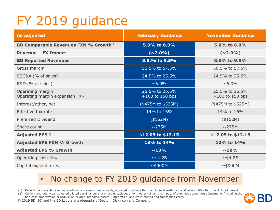# FY 2019 guidance

| <b>As adjusted</b>                                        | <b>February Guidance</b>            | <b>November Guidance</b>            |
|-----------------------------------------------------------|-------------------------------------|-------------------------------------|
| <b>BD Comparable Revenues FXN % Growth</b> <sup>(1)</sup> | 5.0% to 6.0%                        | 5.0% to 6.0%                        |
| <b>Revenue - FX Impact</b>                                | $(\sim\!\!2.0\%)$                   | $(\sim\!\!2.0\%)$                   |
| <b>BD Reported Revenues</b>                               | 8.5.% to 9.5%                       | 8.5% to 9.5%                        |
| Gross margin                                              | 56.5% to 57.5%                      | 56.5% to 57.5%                      |
| SSG&A (% of sales)                                        | 24.5% to 25.5%                      | 24.5% to 25.5%                      |
| R&D (% of sales)                                          | $~6.0\%$                            | $~0.0\%$                            |
| Operating margin<br>Operating margin expansion FXN        | 25.5% to 26.5%<br>$+100$ to 150 bps | 25.5% to 26.5%<br>$+100$ to 150 bps |
| Interest/other, net                                       | (\$475M to \$525M)                  | (\$475M to \$525M)                  |
| Effective tax rate                                        | 14% to 16%                          | 14% to 16%                          |
| Preferred Dividend                                        | (\$152M)                            | (\$152M)                            |
| Share count                                               | $\sim$ 275M                         | $\sim$ 275M                         |
| <b>Adjusted EPS(2)</b>                                    | \$12.05 to \$12.15                  | \$12.05 to \$12.15                  |
| <b>Adjusted EPS FXN % Growth</b>                          | 13% to 14%                          | 13% to 14%                          |
| <b>Adjusted EPS % Growth</b>                              | $~10\%$                             | $~10\%$                             |
| Operating cash flow                                       | ~1.2B                               | $~\sim$ \$4.2B                      |
| Capital expenditures                                      | $~\sim$ \$900M                      | $~\sim$ \$900M                      |

### • No change to FY 2019 guidance from November

(1) Reflects comparable revenue growth on a currency neutral basis, adjusted to include Bard, excludes divestitures, and reflects BD / Bard portfolio alignment.

(2) Current and prior-year adjusted diluted earnings per share results exclude, among other things, the impact of purchase accounting adjustments (including the

non-cash amortization of acquisition-related intangible assets); integration, and restructuring and transaction costs.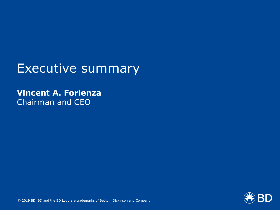### Executive summary

### **Vincent A. Forlenza** Chairman and CEO

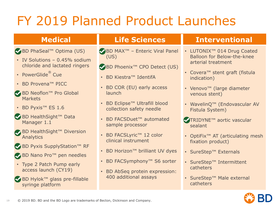# FY 2019 Planned Product Launches

◆ BD PhaSeal™ Optima (US)

- IV Solutions 0.45% sodium chloride and lactated ringers
- PowerGlide® Cue
- BD Provena™ PICC
- ◆ BD Neoflon™ Pro Global **Markets**
- BD Pyxis™ ES 1.6
- ◆ BD HealthSight™ Data Manager 1.1
- ◆ BD HealthSight™ Diversion Analytics
- ◆ BD Pyxis SupplyStation™ RF
- ◆ BD Nano Pro™ pen needles
- Type 2 Patch Pump early access launch (CY19)
- ◆ BD Hylok™ glass pre-fillable syringe platform

- ◆ BD MAX<sup>™</sup> Enteric Viral Panel (US)
- ◆ BD Phoenix<sup>™</sup> CPO Detect (US)
- BD Kiestra™ IdentifA
- BD COR (EU) early access launch
- BD Eclipse™ Ultrafill blood collection safety needle
- BD FACSDuet™ automated sample processor
- BD FACSLyric™ 12 color clinical instrument
- BD Horizon™ brilliant UV dyes
- BD FACSymphony™ S6 sorter
- BD AbSeq protein expression: 400 additional assays

#### **Medical Life Sciences Interventional**

- LUTONIX™ 014 Drug Coated Balloon for Below-the-knee arterial treatment
- Covera™ stent graft (fistula indication)
- Venovo™ (large diameter venous stent)
- WavelinQ™ (Endovascular AV Fistula System)
- ◆ TRIDYNE™ aortic vascular sealant
- OptiFix™ AT (articulating mesh fixation product)
- SureStep™ Externals
- SureStep™ Intermittent catheters
- SureStep™ Male external catheters

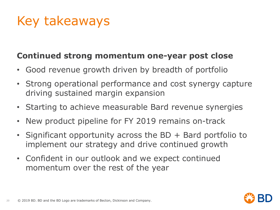# Key takeaways

### **Continued strong momentum one-year post close**

- Good revenue growth driven by breadth of portfolio
- Strong operational performance and cost synergy capture driving sustained margin expansion
- Starting to achieve measurable Bard revenue synergies
- New product pipeline for FY 2019 remains on-track
- Significant opportunity across the BD + Bard portfolio to implement our strategy and drive continued growth
- Confident in our outlook and we expect continued momentum over the rest of the year

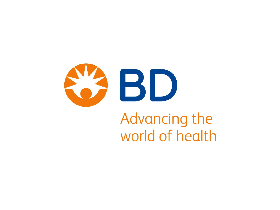

# Advancing the world of health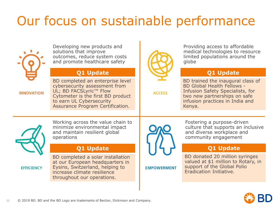# Our focus on sustainable performance



Developing new products and solutions that improve outcomes, reduce system costs and promote healthcare safety

#### **Q1 Update**

**INNOVATION** 

BD completed an enterprise level cybersecurity assessment from UL; BD FACSLyric™ Flow Cytometer is the first BD product to earn UL Cybersecurity Assurance Program Certification.



**ACCESS** 

Providing access to affordable medical technologies to resource limited populations around the globe

#### **Q1 Update**

BD trained the inaugural class of BD Global Health Fellows - Infusion Safety Specialists, for two new partnerships on safe infusion practices in India and Kenya.



Working across the value chain to minimize environmental impact and maintain resilient global operations

#### **Q1 Update**

**EFFICIENCY** 

BD completed a solar installation at our European headquarters in Eysins, Switzerland, helping to increase climate resilience throughout our operations.

**EMPOWERMENT** 

Fostering a purpose-driven culture that supports an inclusive and diverse workplace and community engagement

#### **Q1 Update**

BD donated 20 million syringes valued at \$1 million to Rotary, in support of the Global Polio Eradication Initiative.

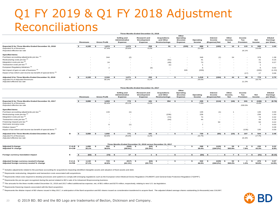#### Q1 FY 2019 & Q1 FY 2018 Adjustment Reconciliations **Three Months Ended December 31, 2018**

|                                                                  |   |                          |    |                     |                                                                        |        |                    |                       |  | Other                    |   |             |               |        |         |        |           |                          |                |          |           |
|------------------------------------------------------------------|---|--------------------------|----|---------------------|------------------------------------------------------------------------|--------|--------------------|-----------------------|--|--------------------------|---|-------------|---------------|--------|---------|--------|-----------|--------------------------|----------------|----------|-----------|
|                                                                  |   |                          |    |                     | Selling and<br><b>Acquisitions</b><br><b>Research and</b><br>Operating |        |                    |                       |  |                          |   |             | Interest      | Other  |         | Income |           |                          | <b>Diluted</b> |          |           |
|                                                                  |   |                          |    |                     | Administrative                                                         |        | <b>Development</b> | and Other             |  | (Income)                 |   | Operating   |               | Income | Income. |        | Tax       |                          | Net            | Earnings |           |
|                                                                  |   | <b>Revenues</b>          |    | <b>Gross Profit</b> | Expense                                                                |        | Expense            | <b>Restructurings</b> |  | Expense                  |   | Income      | (Expense) Net |        | Net     |        | Provision |                          | Income         |          | per Share |
| Reported \$ for Three Months Ended December 31, 2018             |   | 4,160                    | -S | 1,974               | 1,073                                                                  |        | 258                | 91                    |  | (335)                    |   | 888         |               | (183)  |         | 10     |           | 115                      | 599            |          | 2.05      |
|                                                                  |   |                          |    |                     |                                                                        |        |                    |                       |  |                          | s |             |               |        |         |        |           |                          |                |          |           |
| Reported % of Revenues                                           |   |                          |    | 47.4%               | 25.8%                                                                  |        | 6.2%               |                       |  |                          |   | 21.3%       |               |        |         |        |           |                          | 14.4%          |          |           |
| Reported effective tax rate                                      |   |                          |    |                     |                                                                        |        |                    |                       |  |                          |   |             |               |        |         |        |           | 16.1%                    |                |          |           |
| <b>Specified items:</b>                                          |   |                          |    |                     |                                                                        |        |                    |                       |  |                          |   |             |               |        |         |        |           |                          |                |          |           |
| Purchase accounting adjustments pre-tax (1)                      |   |                          |    | 344                 | (2)                                                                    |        |                    |                       |  | $\sim$                   |   | 346         |               | (1)    |         | 34     |           |                          | 379            |          | 1.38      |
| Restructuring costs pre-tax <sup>(2)</sup>                       |   | $\overline{\phantom{a}}$ |    | $\sim$              |                                                                        | $\sim$ | $\sim$             | (41)                  |  | $\sim$                   |   | 41          |               |        |         |        |           | $\overline{\phantom{a}}$ | 41             |          | 0.15      |
| Integration costs pre-tax <sup>(2)</sup>                         |   |                          |    | 24                  |                                                                        | $\sim$ | $\sim$             | (49)                  |  | $\sim$                   |   | 73          |               |        |         |        |           | $\overline{\phantom{a}}$ | 73             |          | 0.27      |
| Transaction costs pre-tax <sup>(2)</sup>                         |   | $\overline{\phantom{a}}$ |    | $\sim$              |                                                                        |        | $\sim$             | (1)                   |  | $\overline{\phantom{a}}$ |   |             |               |        |         |        |           |                          |                |          |           |
| European Regulatory Initiatives <sup>(3)</sup>                   |   |                          |    | $\sim$<br>∠         |                                                                        |        | (3)                | $\sim$                |  |                          |   | 5           |               | $\sim$ |         |        |           | $\overline{\phantom{a}}$ |                |          | 0.02      |
| Net impact of gain on sale of business <sup>(4)</sup>            |   |                          |    | $\sim$              |                                                                        |        | $\sim$             |                       |  | 335                      |   | (335)       |               | $\sim$ |         |        |           | $\overline{\phantom{a}}$ | (335)          |          | (1.22)    |
| Impact of tax reform and income tax benefit of special items (5) |   |                          |    |                     |                                                                        |        | $\sim$             |                       |  | $\sim$                   |   | <b>1999</b> |               |        |         |        |           | (17)                     | 17             |          | 0.06      |
| Adjusted \$ for Three Months Ended December 31, 2018             | A | 4.160                    | s. | 2.344               | 1.071                                                                  |        | 255                |                       |  |                          |   | 1,018       |               | (184)  |         | 44     |           | 98                       | 779            |          | 2.70      |
| Adjusted % of Adjusted Revenues                                  |   |                          |    | 56.3%               | 25.7%                                                                  |        | 6.1%               |                       |  |                          |   | 24.5%       |               |        | - 5     |        |           |                          | 18.7%          |          |           |
| Adjusted effective tax rate                                      |   |                          |    |                     |                                                                        |        |                    |                       |  |                          |   |             |               |        |         |        |           | 11.2%                    |                |          |           |
|                                                                  |   |                          |    |                     |                                                                        |        |                    |                       |  |                          |   |             |               |        |         |        |           |                          |                |          |           |

|                                                                  |                |     |                 |                    |                     |                                                 |            |                    | Three Months Ended December 31, 2017                          |                                                           |                          |        |                                                  |                    |                     |              |                                     |           |                         |              |                            |               |                |              |                                         |
|------------------------------------------------------------------|----------------|-----|-----------------|--------------------|---------------------|-------------------------------------------------|------------|--------------------|---------------------------------------------------------------|-----------------------------------------------------------|--------------------------|--------|--------------------------------------------------|--------------------|---------------------|--------------|-------------------------------------|-----------|-------------------------|--------------|----------------------------|---------------|----------------|--------------|-----------------------------------------|
|                                                                  |                |     | <b>Revenues</b> |                    | <b>Gross Profit</b> | Selling and<br>Administrative<br><b>Expense</b> |            |                    | Research and<br><b>Development</b><br>Expense                 | <b>Acquisitions</b><br>and Other<br><b>Restructurings</b> |                          |        | Other<br>Operating<br>(Income)<br><b>Expense</b> |                    | Operating<br>Income |              | Interest<br>Income<br>(Expense) Net |           | Other<br>Income.<br>Net |              | Income<br>Tax<br>Provision | Net<br>Income |                |              | <b>Diluted</b><br>Earnings<br>per Share |
| Reported \$ for Three Months Ended December 31, 2017             |                |     | 3,080           | $\hat{\mathbf{x}}$ | 1,553               | $\hat{\mathbf{z}}$                              | 773        |                    | 191                                                           | $\mathbf{s}$                                              | 354                      | $\sim$ |                                                  | - \$               | 235                 | $\mathbf{s}$ | (114)                               |           | (16)                    | - \$         | 241                        | - \$          | (136)          | $\mathbf{s}$ | (0.76)                                  |
| Reported % of Revenues<br>Reported effective tax rate            |                |     |                 |                    | 50.4%               |                                                 | 25.1%      |                    | 6.2%                                                          |                                                           |                          |        |                                                  |                    | 7.6%                |              |                                     |           |                         |              | 230.0%                     |               | $-4.4%$        |              |                                         |
| <b>Specified items:</b>                                          |                |     |                 |                    |                     |                                                 |            |                    |                                                               |                                                           |                          |        |                                                  |                    |                     |              |                                     |           |                         |              |                            |               |                |              |                                         |
| Purchase accounting adjustments pre-tax <sup>(1)</sup>           |                |     | $\sim$          |                    | 133                 |                                                 | (1)        |                    |                                                               |                                                           |                          |        | $\overline{\phantom{a}}$                         |                    | 135                 |              | (1)                                 |           |                         |              | $\overline{\phantom{a}}$   |               | 135            |              | 0.59                                    |
| Restructuring costs pre-tax (2)                                  |                |     |                 |                    |                     |                                                 |            |                    |                                                               |                                                           | (236)                    |        | $\overline{\phantom{a}}$                         |                    | 236                 |              |                                     |           |                         |              | $\overline{\phantom{a}}$   |               | 236            |              | 1.03                                    |
| Integration costs pre-tax <sup>(2)</sup>                         |                |     |                 |                    |                     |                                                 |            |                    | $\sim$                                                        |                                                           | (74)                     |        | $\sim$                                           |                    | 74                  |              |                                     |           |                         |              | $\overline{\phantom{a}}$   |               | 74             |              | 0.32                                    |
| Transaction costs pre-tax (2)                                    |                |     |                 |                    |                     |                                                 |            |                    | $\sim$                                                        |                                                           | (44)                     |        | $\sim$                                           |                    | 44                  |              |                                     |           |                         |              | $\sim$                     |               | 44             |              | 0.19                                    |
| Financing impacts pre-tax <sup>(6)</sup>                         |                |     |                 |                    |                     |                                                 | $\sim$     |                    | $\sim$                                                        |                                                           | $\sim$                   |        | $\overline{\phantom{a}}$                         |                    | $\sim$              |              | 50                                  |           | $\sim$                  |              | $\overline{\phantom{a}}$   |               | 50             |              | 0.22                                    |
| Hurricane recovery costs                                         |                |     |                 |                    | 6                   |                                                 | (1)        |                    | $\sim$                                                        |                                                           | $\sim$                   |        |                                                  |                    | $\overline{7}$      |              |                                     |           |                         |              | $\overline{\phantom{a}}$   |               | $\overline{7}$ |              | 0.03                                    |
| Dilutive impact <sup>(7)</sup>                                   |                |     |                 |                    |                     |                                                 | $\sim$     |                    | . .                                                           |                                                           |                          |        |                                                  |                    | $\sim$              |              |                                     |           | $\sim$                  |              | $\overline{\phantom{a}}$   |               |                |              | 0.28                                    |
| Impact of tax reform and income tax benefit of special items (5) |                |     |                 |                    |                     |                                                 | $\sim$     |                    |                                                               |                                                           |                          |        | $\overline{\phantom{a}}$                         |                    | ٠                   |              |                                     |           | $\sim$                  |              | (135)                      |               | 135            |              | 0.59                                    |
| Adjusted \$ for Three Months Ended December 31, 2017             | в              |     | 3.080           | $\hat{\mathbf{x}}$ | 1.692               | $\hat{\mathbf{z}}$                              | 771        | $\hat{\mathbf{z}}$ | 191                                                           | $\hat{\mathbf{z}}$                                        | $\sim$                   |        | $\sim$                                           | $\hat{\mathbf{z}}$ | 730                 | $\mathbf{s}$ | $(65)$ \$                           |           | (15)                    | - \$         | 107                        |               | 544            | $\bullet$    | 2.48                                    |
| <b>Adiusted % of Revenues</b><br>Adiusted effective tax rate     |                |     |                 |                    | 54.9%               |                                                 | 25.0%      |                    | 6.2%                                                          |                                                           |                          |        |                                                  |                    | 23.7%               |              |                                     |           |                         |              | 16.4%                      |               | 17.7%          |              |                                         |
|                                                                  |                |     |                 |                    |                     |                                                 |            |                    | Three Months Ended December 31, 2018 versus December 31, 2017 |                                                           |                          |        |                                                  |                    |                     |              |                                     |           |                         |              |                            |               |                |              |                                         |
| <b>Adjusted \$ change</b>                                        | $C = A - B$ \$ |     | 1.080           | -S                 | 652                 | - S                                             | (300)      |                    | (64)                                                          |                                                           | $\overline{\phantom{a}}$ | -S     | . .                                              | $\mathbf{s}$       | 288                 | - \$         | (120)                               | -S        | 59                      | - \$         | $\mathbf{R}$               | - \$          | 235            | s.           | 0.22                                    |
| Adjusted % change                                                | $D = C/B$      |     | 35.1%           |                    | 38.5%               |                                                 | $(39.0\%)$ |                    | (33.3%)                                                       |                                                           | $\overline{a}$           |        | . .                                              |                    | 39.4%               |              | $(184.2\%)$                         |           | 393.9%                  |              | 7.9%                       |               | 43.3%          |              | 8.9%                                    |
| Foreign currency translation impact                              | Е              | - 5 | $(62)$ \$       |                    | (72)                | $\mathbf{s}$                                    | 17         |                    | $\mathbf{1}$                                                  | $\mathbf{s}$                                              | $\sim$                   |        |                                                  | $\mathbf{s}$       | $(54)$ \$           |              | $\sim$                              | $\bullet$ | $\overline{ }$          | $\mathbf{s}$ | $\overline{7}$             | - \$          | (41)           | <b>S</b>     | (0.15)                                  |
|                                                                  |                |     |                 |                    |                     |                                                 |            |                    |                                                               |                                                           |                          |        |                                                  |                    |                     |              |                                     |           |                         |              |                            |               |                |              |                                         |
| Adjusted foreign currency neutral \$ change                      | $F=C-E$ \$     |     | 1,142           | -S                 | 723                 | - \$                                            | (317)      | - \$               | (64)                                                          | - \$                                                      | $\sim$                   | - 5    |                                                  | - \$               | 342                 | - \$         | (120)                               | - 5       | 52                      | - \$         |                            | \$            | 276            | - \$         | 0.37                                    |
| Adjusted foreign currency neutral % change                       | $G = F/B$      |     | 37.1%           |                    | 42.8%               |                                                 | $(41.1\%)$ |                    | (33.7%)                                                       |                                                           | $\overline{\phantom{a}}$ |        |                                                  |                    | 46.9%               |              | $(184.2\%)$                         |           | 350.2%                  |              | 1.3%                       |               | 50.8%          |              | 14.9%                                   |
|                                                                  |                |     |                 |                    |                     |                                                 |            |                    |                                                               |                                                           |                          |        |                                                  |                    |                     |              |                                     |           |                         |              |                            |               |                |              |                                         |

<sup>(1)</sup> Includes adjustments related to the purchase accounting for acquisitions impacting identified intangible assets and valuation of fixed assets and debt.

 $(2)$  Represents restructuring, integration and transaction costs associated with acquisitions.

(3) Represents initial costs required to develop processes and systems to comply with emerging regulations such as the European Union Medical Device Regulation ("EUMDR") and General Data Protection Regulation ("GDPR").

(4) Represents the pre-tax gain recognized during the period related to BD's sale of its Advanced Bioprocessing business.

 $^{(5)}$  The amounts for the three months ended December 31, 2018 and 2017 reflect additional tax expense, net, of \$51 million and \$270 million, respectively, relating to new U.S. tax legislation.

(6) Represents financing impacts associated with the Bard acquisition.

(7) Represents the dilutive impact of BD shares issued in May 2017, in anticipation of the Bard acquisition and BD shares issued as consideration transferred to acquire Bard. The adjusted diluted average shares outstanding

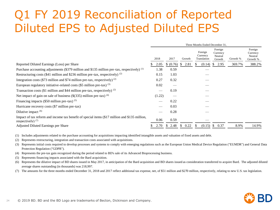### Q1 FY 2019 Reconciliation of Reported Diluted EPS to Adjusted Diluted EPS

|                                                                                                                      | Three Months Ended December 31. |        |    |           |               |        |    |                                    |               |                                          |          |                                            |  |
|----------------------------------------------------------------------------------------------------------------------|---------------------------------|--------|----|-----------|---------------|--------|----|------------------------------------|---------------|------------------------------------------|----------|--------------------------------------------|--|
|                                                                                                                      | 2018                            |        |    | 2017      |               | Growth |    | Foreign<br>Currency<br>Translation |               | Foreign<br>Currency<br>Neutral<br>Growth | Growth % | Foreign<br>Currency<br>Neutral<br>Growth % |  |
| Reported Diluted Earnings (Loss) per Share                                                                           |                                 | 2.05   |    | \$ (0.76) | <sup>\$</sup> | 2.81   |    | (0.14)                             | <sup>S</sup>  | 2.95                                     | 369.7%   | 388.2%                                     |  |
| Purchase accounting adjustments (\$379 million and \$135 million pre-tax, respectively) (1)                          |                                 | 1.38   |    | 0.59      |               |        |    |                                    |               |                                          |          |                                            |  |
| Restructuring costs (\$41 million and \$236 million pre-tax, respectively) $(2)$                                     |                                 | 0.15   |    | 1.03      |               |        |    |                                    |               |                                          |          |                                            |  |
| Integration costs (\$73 million and \$74 million pre-tax, respectively) <sup>(2)</sup>                               |                                 | 0.27   |    | 0.32      |               |        |    |                                    |               |                                          |          |                                            |  |
| European regulatory initiative-related costs $(\$5$ million pre-tax) $(3)$                                           |                                 | 0.02   |    |           |               |        |    |                                    |               |                                          |          |                                            |  |
| Transaction costs (\$1 million and \$44 million pre-tax, respectively) $(2)$                                         |                                 |        |    | 0.19      |               |        |    |                                    |               |                                          |          |                                            |  |
| Net impact of gain on sale of business $(\$(335)$ million pre-tax) <sup>(4)</sup>                                    |                                 | (1.22) |    |           |               |        |    |                                    |               |                                          |          |                                            |  |
| Financing impacts $(\$50$ million pre-tax) $(5)$                                                                     |                                 |        |    | 0.22      |               |        |    |                                    |               |                                          |          |                                            |  |
| Hurricane recovery costs (\$7 million pre-tax)                                                                       |                                 | $\sim$ |    | 0.03      |               |        |    |                                    |               |                                          |          |                                            |  |
| Dilutive impact $(6)$                                                                                                |                                 |        |    | 0.28      |               |        |    |                                    |               |                                          |          |                                            |  |
| Impact of tax reform and income tax benefit of special items (\$17 million and \$135 million,<br>respectively) $(7)$ |                                 | 0.06   |    | 0.59      |               |        |    |                                    |               |                                          |          |                                            |  |
| Adjusted Diluted Earnings per Share                                                                                  |                                 | 2.70   | Ъ. | 2.48      | S.            | 0.22   | £. | (0.15)                             | <sup>\$</sup> | 0.37                                     | 8.9%     | 14.9%                                      |  |

(1) Includes adjustments related to the purchase accounting for acquisitions impacting identified intangible assets and valuation of fixed assets and debt.

(2) Represents restructuring, integration and transaction costs associated with acquisitions.

(3) Represents initial costs required to develop processes and systems to comply with emerging regulations such as the European Union Medical Device Regulation ("EUMDR") and General Data Protection Regulation ("GDPR").

- (4) Represents the pre-tax gain recognized during the period related to BD's sale of its Advanced Bioprocessing business.
- (5) Represents financing impacts associated with the Bard acquisition.
- (6) Represents the dilutive impact of BD shares issued in May 2017, in anticipation of the Bard acquisition and BD shares issued as consideration transferred to acquire Bard. The adjusted diluted average shares outstanding (in thousands) was 218,997.

(7) The amounts for the three months ended December 31, 2018 and 2017 reflect additional tax expense, net, of \$51 million and \$270 million, respectively, relating to new U.S. tax legislation.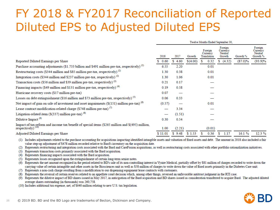### FY 2018 & FY2017 Reconciliation of Reported Diluted EPS to Adjusted Diluted EPS

|                                                                                                                                   | Twelve Months Ended September 30, |        |          |                                    |        |                                          |        |            |                                            |  |
|-----------------------------------------------------------------------------------------------------------------------------------|-----------------------------------|--------|----------|------------------------------------|--------|------------------------------------------|--------|------------|--------------------------------------------|--|
|                                                                                                                                   | 2018<br>2017                      |        | Growth   | Foreign<br>Currency<br>Translation |        | Foreign<br>Currency<br>Neutral<br>Growth |        | Growth %   | Foreign<br>Currency<br>Neutral<br>Growth % |  |
| Reported Diluted Earnings per Share                                                                                               | 0.60<br>S.                        | \$4.60 | \$(4.00) | s                                  | 0.32   |                                          | (4.32) | $(87.0)\%$ | (93.9)%                                    |  |
| Purchase accounting adjustments (\$1.733 billion and \$491 million pre-tax, respectively) <sup>(1)</sup>                          | 6.55                              | 2.20   |          |                                    | 0.01   |                                          |        |            |                                            |  |
| Restructuring costs (\$344 million and \$85 million pre-tax, respectively) <sup>(2)</sup>                                         | 1.30                              | 0.38   |          |                                    | 0.01   |                                          |        |            |                                            |  |
| Integration costs (\$344 million and \$237 million pre-tax, respectively) $^{(2)}$                                                | 1.30                              | 1.06   |          |                                    | 0.01   |                                          |        |            |                                            |  |
| Transaction costs (\$56 million and \$39 million pre-tax, respectively) (3)                                                       | 0.21                              | 0.17   |          |                                    |        |                                          |        |            |                                            |  |
| Financing impacts (\$49 million and \$131 million pre-tax, respectively) $(4)$                                                    | 0.19                              | 0.58   |          |                                    |        |                                          |        |            |                                            |  |
| Hurricane recovery costs (\$17 million pre-tax)                                                                                   | 0.07                              |        |          |                                    |        |                                          |        |            |                                            |  |
| Losses on debt extinguishment (\$16 million and \$73 million pre-tax, respectively) <sup>(5)</sup>                                | 0.06                              | 0.33   |          |                                    |        |                                          |        |            |                                            |  |
| Net impact of gain on sale of investment and asset impairments $(\$(151)$ million pre-tax) $^{(6)}$                               | (0.57)                            |        |          |                                    | 0.01   |                                          |        |            |                                            |  |
| Lease contract modification-related charge (\$748 million pre-tax) (7)                                                            |                                   | 3.34   |          |                                    |        |                                          |        |            |                                            |  |
| Litigation-related item $(\$(337)$ million pre-tax) $(8)$                                                                         |                                   | (1.51) |          |                                    |        |                                          |        |            |                                            |  |
| Dilutive Impact <sup>(9)</sup>                                                                                                    | 0.30                              | 0.54   |          |                                    |        |                                          |        |            |                                            |  |
| Impact of tax reform and income tax benefit of special items (\$265 million and \$(495) million,<br>respectively) <sup>(10)</sup> | 1.00                              | (2.21) |          |                                    | (0.01) |                                          |        |            |                                            |  |
| Adjusted Diluted Earnings per Share                                                                                               | \$11.01                           | \$9.48 | \$1.53   |                                    | 0.36   |                                          | 1.17   | 16.1%      | 12.3%                                      |  |

(1) Includes adjustments related to the purchase accounting for acquisitions impacting identified intangible assets and valuation of fixed assets and debt. The amount in 2018 also included a fair value step-up adjustment of \$478 million recorded relative to Bard's inventory on the acquisition date.

(2) Represents restructuring and integration costs associated with the Bard and CareFusion acquisitions, as well as restructuring costs associated with other portfolio rationalization initiatives.

(3) Represents transaction costs primarily associated with the Bard acquisition.

(4) Represents financing impacts associated with the Bard acquisition.

(5) Represents losses recognized upon the extinguishment of certain long-term senior notes.

(6) Represents the net amount recognized in the period related to BD's sale of its non-controlling interest in Vyaire Medical, partially offset by \$81 million of charges recorded to write down the carrying value of certain intangible and other assets in the Biosciences unit as well as \$58 million of charges to write down the value of fixed assets primarily in the Diabetes Care unit.

(7) Represents a non-cash charge resulting from a modification to our dispensing equipment lease contracts with customers.

(8) Represents the reversal of certain reserves related to an appellate court decision which, among other things, reversed an unfavorable antitrust judgment in the RTI case.

(9) Represents the dilutive impact of BD shares issued in May 2017, in anticipation of the Bard acquisition and BD shares issued as consideration transferred to acquire Bard. The adjusted diluted average shares outstanding (in thousands) was 260,758.

(10) Includes additional tax expense, net, of \$640 million relating to new U.S. tax legislation.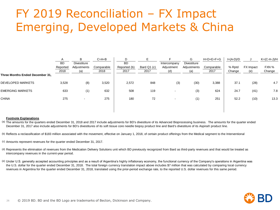### FY 2019 Reconciliation – FX Impact Emerging, Developed Markets & China

|                                 | <b>BD</b>        | B<br><b>Divestiture</b>  | $C = A + B$        | D.<br><b>BD</b>      | F.                  | Intercompany             | G<br>Divestiture   | $H=D+E+F+G$        | l=(A-D)/D        |                  | $K=(C-H-J)/H$   |
|---------------------------------|------------------|--------------------------|--------------------|----------------------|---------------------|--------------------------|--------------------|--------------------|------------------|------------------|-----------------|
|                                 | Reported<br>2018 | Adjustments<br>(a)       | Comparable<br>2018 | Reported (b)<br>2017 | Bard Q1 (c)<br>2017 | Adjustment<br>(d)        | Adjustments<br>(a) | Comparable<br>2017 | % Rptd<br>Change | FX Impact<br>(e) | FXN %<br>Change |
| Three Months Ended December 31, |                  |                          |                    |                      |                     |                          |                    |                    |                  |                  |                 |
| <b>DEVELOPED MARKETS</b>        | 3,528            | (8)                      | 3,520              | 2,572                | 848                 | (3)                      | (30)               | 3,388              | 37.1             | (28)             | 4.7             |
| <b>EMERGING MARKETS</b>         | 633              | (1)                      | 632                | 508                  | 119                 | $\overline{\phantom{a}}$ | (3)                | 624                | 24.7             | (41)             | 7.8             |
| <b>CHINA</b>                    | 275              | $\overline{\phantom{0}}$ | 275                | 180                  | 72                  | ٠                        | (1)                | 251                | 52.2             | (10)             | 13.3            |
|                                 |                  |                          |                    |                      |                     |                          |                    |                    |                  |                  |                 |
|                                 |                  |                          |                    |                      |                     |                          |                    |                    |                  |                  |                 |

#### **Footnote Explanations**

(a) The amounts for the quarters ended December 31, 2018 and 2017 include adjustments for BD's divestiture of its Advanced Bioprocessing business. The amounts for the quarter ended December 31, 2017 also include adjustments for BD's divestitures of its soft tissue core needle biopsy product line and Bard's divestiture of its Aspira® product line.

- (b) Reflects a reclassification of \$183 million associated with the movement, effective on January 1, 2018, of certain product offerings from the Medical segment to the Interventional
- (c) Amounts represent revenues for the quarter ended December 31, 2017.
- (d) Represents the elimination of revenues from the Medication Delivery Solutions unit which BD previously recognized from Bard as third-party revenues and that would be treated as intercompany revenues in the current-year period.
- (e) Under U.S. generally accepted accounting principles and as a result of Argentina's highly inflationary economy, the functional currency of the Company's operations in Argentina was the U.S. dollar for the quarter ended December 31, 2018. The total foreign currency translation impact above includes \$7 million that was calculated by comparing local currency revenues in Argentina for the quarter ended December 31, 2018, translated using the prior-period exchange rate, to the reported U.S. dollar revenues for this same period.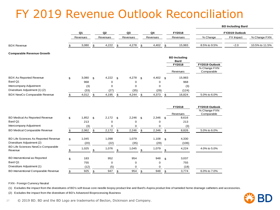### FY 2019 Revenue Outlook Reconciliation

|                                              |    |                      |                |          |                |          |                |          |                | <b>BD Including Bard</b>           |                            |           |                |
|----------------------------------------------|----|----------------------|----------------|----------|----------------|----------|----------------|----------|----------------|------------------------------------|----------------------------|-----------|----------------|
|                                              |    | Q1<br>Q <sub>2</sub> |                | Q3       |                |          | Q4             |          |                | FY2018                             | FY2019 Outlook             |           |                |
|                                              |    | Revenues             |                | Revenues |                | Revenues |                | Revenues |                | Revenues                           | % Change                   | FX Impact | % Change FXN   |
| <b>BDX Revenue</b>                           |    | 3,080                | \$             | 4,222    | \$             | 4,278    | \$             | 4,402    | \$             | 15,983                             | 8.5% to 9.5%               | $-2.0$    | 10.5% to 11.5% |
| <b>Comparable Revenue Growth</b>             |    |                      |                |          |                |          |                |          |                |                                    |                            |           |                |
|                                              |    |                      |                |          |                |          |                |          |                | <b>BD</b> Including<br><b>Bard</b> |                            |           |                |
|                                              |    |                      |                |          |                |          |                |          |                | FY2018                             | FY2019 Outlook             |           |                |
|                                              |    |                      |                |          |                |          |                |          |                | Revenues                           | % Change FXN<br>Comparable |           |                |
| <b>BDX As Reported Revenue</b>               | \$ | 3,080                | $\mathfrak{L}$ | 4,222    | \$             | 4,278    | $\mathbf{s}$   | 4,402    | \$             | 15,983                             |                            |           |                |
| Bard Q1                                      |    | 968                  |                | 0        |                | $\Omega$ |                | 0        |                | 968                                |                            |           |                |
| Intercompany Adjustment                      |    | (3)                  |                | 0        |                | 0        |                | 0        |                | (3)                                |                            |           |                |
| Divestiture Adjustment (1) (2)               |    | (33)                 |                | (27)     |                | (35)     |                | (29)     |                | (124)                              |                            |           |                |
| BDX NewCo Comparable Revenue                 | \$ | 4,012                | \$             | 4,195    | \$             | 4,244    | $\mathfrak{S}$ | 4,373    | $\mathfrak s$  | 16,824                             | 5.0% to 6.0%               |           |                |
|                                              |    |                      |                |          |                |          |                |          |                | FY2018                             | FY2019 Outlook             |           |                |
|                                              |    |                      |                |          |                |          |                |          |                |                                    | % Change FXN               |           |                |
|                                              |    |                      |                |          |                |          |                |          |                | Revenues                           | Comparable                 |           |                |
| BD Medical As Reported Revenue               | \$ | 1,852                | $\mathbf{s}$   | 2,172    | $\mathfrak{S}$ | 2,246    | $\mathbf{s}$   | 2,346    | \$             | 8,616                              |                            |           |                |
| Bard Q1                                      |    | 213                  |                | 0        |                | 0        |                | 0        |                | 213                                |                            |           |                |
| Intercompany Adjustment                      |    | (3)                  |                | 0        |                | 0        |                | 0        |                | (3)                                |                            |           |                |
| <b>BD Medical Comparable Revenue</b>         | \$ | 2,062                | \$             | 2,172    | \$             | 2,246    | \$             | 2,346    | $\mathfrak s$  | 8,826                              | 5.0% to 6.0%               |           |                |
| BD Life Sciences As Reported Revenue         | \$ | 1,045                |                | 1,098    |                | 1,079    |                | 1,108    | \$             | 4,330                              |                            |           |                |
| Divestiture Adjustment (2)                   |    | (20)                 |                | (22)     |                | (35)     |                | (29)     |                | (106)                              |                            |           |                |
| BD Life Sciences NewCo Comparable<br>Revenue |    | 1,025                | $\mathfrak{L}$ | 1,076    | $\mathbf{\$}$  | 1,045    |                | 1,079    | $\mathfrak{L}$ | 4,224                              | 4.0% to 5.0%               |           |                |
| BD Interventional as Reported                | \$ | 183                  |                | 952      |                | 954      |                | 948      | \$             | 3,037                              |                            |           |                |
| Bard Q1                                      |    | 755                  |                | 0        |                | $\Omega$ |                | 0        |                | 755                                |                            |           |                |
| Divestiture Adjustment (1)                   |    | (12)                 |                | (5)      |                | $\Omega$ |                | $\Omega$ |                | (18)                               |                            |           |                |
| BD Interventional Comparable Revenue         | \$ | 925                  | \$             | 947      | \$             | 954      | \$             | 948      | $\mathfrak{S}$ | 3,774                              | 6.0% to 7.0%               |           |                |

FXN - Foreign Currency Neutral

(1) Excludes the impact from the divestitures of BD's soft tissue core needle biopsy product line and Bard's Aspira product line of tunneled home drainage catheters and accessories.

(2) Excludes the impact from the divestiture of BD's Advanced Bioprocessing Business